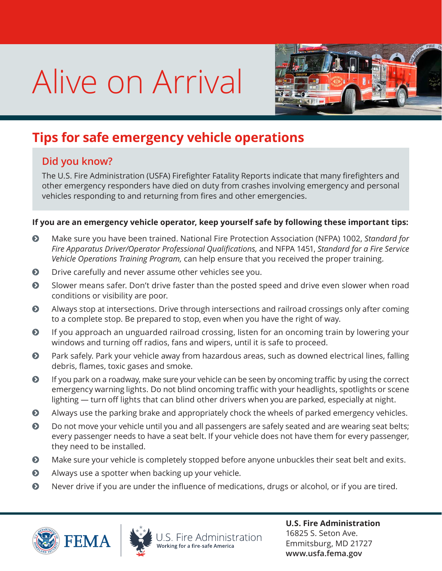## Alive on Arrival



## **Tips for safe emergency vehicle operations**

## **Did you know?**

The U.S. Fire Administration (USFA) Firefighter Fatality Reports indicate that many firefighters and other emergency responders have died on duty from crashes involving emergency and personal vehicles responding to and returning from fires and other emergencies.

## **If you are an emergency vehicle operator, keep yourself safe by following these important tips:**

- ĵ Make sure you have been trained. National Fire Protection Association (NFPA) 1002, *Standard for Fire Apparatus Driver/Operator Professional Qualifications,* and NFPA 1451, *Standard for a Fire Service Vehicle Operations Training Program,* can help ensure that you received the proper training.
- **•** Drive carefully and never assume other vehicles see you.
- **•** Slower means safer. Don't drive faster than the posted speed and drive even slower when road conditions or visibility are poor.
- ĵ Always stop at intersections. Drive through intersections and railroad crossings only after coming to a complete stop. Be prepared to stop, even when you have the right of way.
- $\odot$  If you approach an unguarded railroad crossing, listen for an oncoming train by lowering your windows and turning off radios, fans and wipers, until it is safe to proceed.
- **•** Park safely. Park your vehicle away from hazardous areas, such as downed electrical lines, falling debris, flames, toxic gases and smoke.
- ĵ If you park on a roadway, make sure your vehicle can be seen by oncoming traffic by using the correct emergency warning lights. Do not blind oncoming traffic with your headlights, spotlights or scene lighting — turn off lights that can blind other drivers when you are parked, especially at night.
- $\bullet$  Always use the parking brake and appropriately chock the wheels of parked emergency vehicles.
- **•** Do not move your vehicle until you and all passengers are safely seated and are wearing seat belts; every passenger needs to have a seat belt. If your vehicle does not have them for every passenger, they need to be installed.
- $\bullet$  Make sure your vehicle is completely stopped before anyone unbuckles their seat belt and exits.
- $\odot$  Always use a spotter when backing up your vehicle.
- $\odot$  Never drive if you are under the influence of medications, drugs or alcohol, or if you are tired.





S. Fire Administration

**U.S. Fire Administration** 16825 S. Seton Ave. Emmitsburg, MD 21727 **www.usfa.fema.gov**